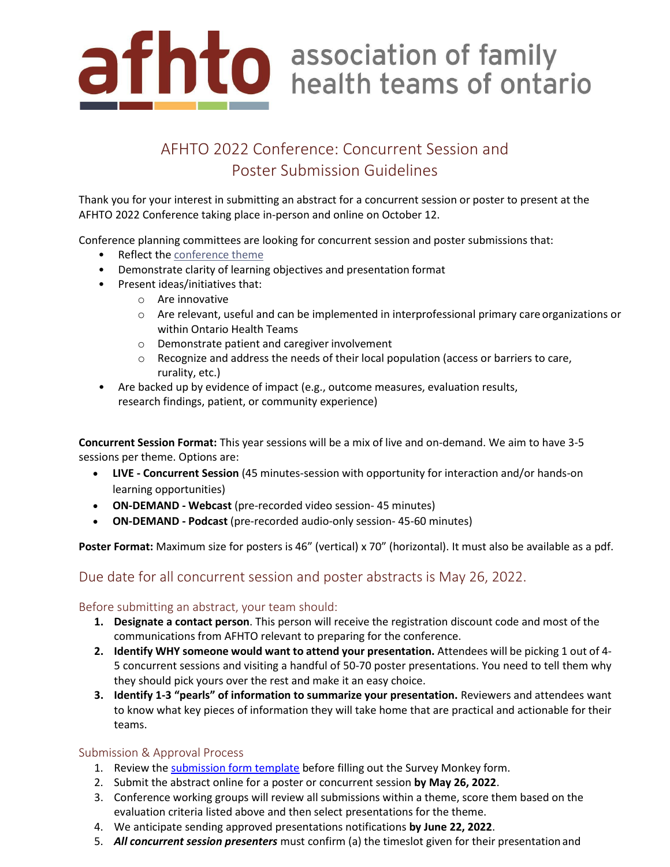

# AFHTO 2022 Conference: Concurrent Session and Poster Submission Guidelines

Thank you for your interest in submitting an abstract for a concurrent session or poster to present at the AFHTO 2022 Conference taking place in-person and online on October 12.

Conference planning committees are looking for concurrent session and poster submissions that:

- Reflect the [conference](https://www.afhto.ca/news-events/news/2022-conference-themes) theme
- Demonstrate clarity of learning objectives and presentation format
- Present ideas/initiatives that:
	- o Are innovative
	- o Are relevant, useful and can be implemented in interprofessional primary care organizations or within Ontario Health Teams
	- o Demonstrate patient and caregiver involvement
	- $\circ$  Recognize and address the needs of their local population (access or barriers to care, rurality, etc.)
- Are backed up by evidence of impact (e.g., outcome measures, evaluation results, research findings, patient, or community experience)

**Concurrent Session Format:** This year sessions will be a mix of live and on-demand. We aim to have 3-5 sessions per theme. Options are:

- **LIVE - Concurrent Session** (45 minutes-session with opportunity for interaction and/or hands-on learning opportunities)
- **ON-DEMAND - Webcast** (pre-recorded video session- 45 minutes)
- **ON-DEMAND - Podcast** (pre-recorded audio-only session- 45-60 minutes)

Poster Format: Maximum size for posters is 46" (vertical) x 70" (horizontal). It must also be available as a pdf.

## Due date for all concurrent session and poster abstracts is May 26, 2022.

### Before submitting an abstract, your team should:

- **1. Designate a contact person**. This person will receive the registration discount code and most of the communications from AFHTO relevant to preparing for the conference.
- **2. Identify WHY someone would want to attend your presentation.** Attendees will be picking 1 out of 4- 5 concurrent sessions and visiting a handful of 50-70 poster presentations. You need to tell them why they should pick yours over the rest and make it an easy choice.
- **3. Identify 1-3 "pearls" of information to summarize your presentation.** Reviewers and attendees want to know what key pieces of information they will take home that are practical and actionable for their teams.

## Submission & Approval Process

- 1. Review the [submission form template](https://www.afhto.ca/sites/default/files/2022-04/AFHTO%202022%20Abstract%20Submission%20Form%20Template_0.docx) before filling out the Survey Monkey form.
- 2. Submit the abstract online for a poster or concurrent session **by May 26, 2022**.
- 3. Conference working groups will review all submissions within a theme, score them based on the evaluation criteria listed above and then select presentations for the theme.
- 4. We anticipate sending approved presentations notifications **by June 22, 2022**.
- 5. *All concurrent session presenters* must confirm (a) the timeslot given for their presentation and